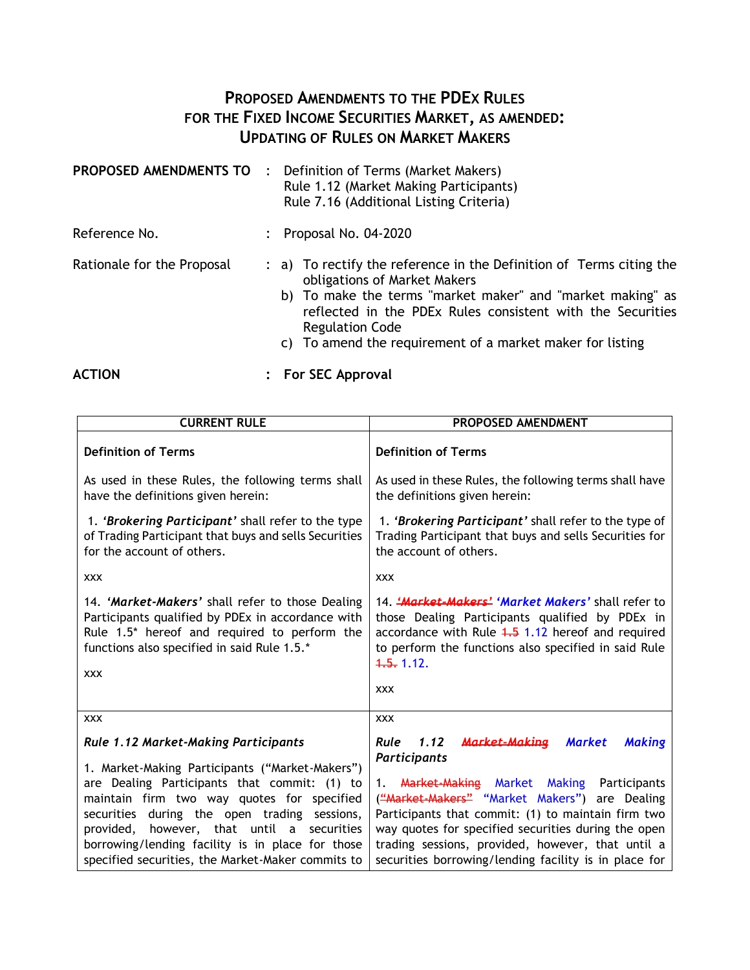## **PROPOSED AMENDMENTS TO THE PDEX RULES FOR THE FIXED INCOME SECURITIES MARKET, AS AMENDED: UPDATING OF RULES ON MARKET MAKERS**

| PROPOSED AMENDMENTS TO     | $\cdot$ : | Definition of Terms (Market Makers)<br>Rule 1.12 (Market Making Participants)<br>Rule 7.16 (Additional Listing Criteria)                                                                                                                                                                                               |
|----------------------------|-----------|------------------------------------------------------------------------------------------------------------------------------------------------------------------------------------------------------------------------------------------------------------------------------------------------------------------------|
| Reference No.              |           | Proposal No. 04-2020                                                                                                                                                                                                                                                                                                   |
| Rationale for the Proposal |           | : a) To rectify the reference in the Definition of Terms citing the<br>obligations of Market Makers<br>b) To make the terms "market maker" and "market making" as<br>reflected in the PDEx Rules consistent with the Securities<br><b>Regulation Code</b><br>c) To amend the requirement of a market maker for listing |
| <b>ACTION</b>              |           | For SEC Approval                                                                                                                                                                                                                                                                                                       |

**CURRENT RULE PROPOSED AMENDMENT Definition of Terms** As used in these Rules, the following terms shall have the definitions given herein: 1. *'Brokering Participant'* shall refer to the type of Trading Participant that buys and sells Securities for the account of others. xxx 14. *'Market-Makers'* shall refer to those Dealing Participants qualified by PDEx in accordance with Rule 1.5\* hereof and required to perform the functions also specified in said Rule 1.5.\* xxx **Definition of Terms** As used in these Rules, the following terms shall have the definitions given herein: 1. *'Brokering Participant'* shall refer to the type of Trading Participant that buys and sells Securities for the account of others. xxx 14. *'Market-Makers' 'Market Makers'* shall refer to those Dealing Participants qualified by PDEx in accordance with Rule  $4.5$  1.12 hereof and required to perform the functions also specified in said Rule  $1.5.112.$ xxx xxx *Rule 1.12 Market-Making Participants*  1. Market-Making Participants ("Market-Makers") are Dealing Participants that commit: (1) to maintain firm two way quotes for specified securities during the open trading sessions, provided, however, that until a securities borrowing/lending facility is in place for those specified securities, the Market-Maker commits to xxx *Rule 1.12 Market-Making Market Making Participants*  1. Market-Making Market Making Participants ("Market-Makers" "Market Makers") are Dealing Participants that commit: (1) to maintain firm two way quotes for specified securities during the open trading sessions, provided, however, that until a securities borrowing/lending facility is in place for